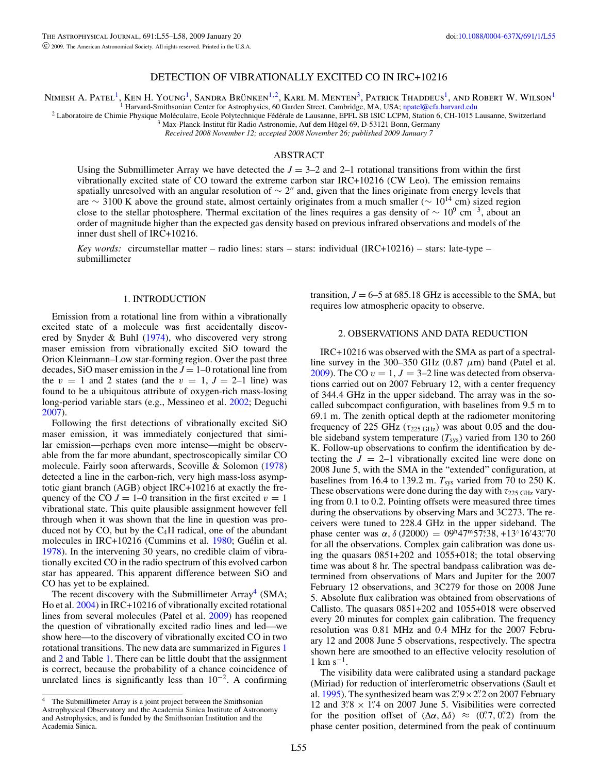# DETECTION OF VIBRATIONALLY EXCITED CO IN IRC+10216

Nimesh A. Patel<sup>1</sup>, Ken H. Young<sup>1</sup>, Sandra Brünken<sup>1,2</sup>, Karl M. Menten<sup>3</sup>, Patrick Thaddeus<sup>1</sup>, and Robert W. Wilson<sup>1</sup>

<sup>1</sup> Harvard-Smithsonian Center for Astrophysics, 60 Garden Street, Cambridge, MA, USA; [npatel@cfa.harvard.edu](mailto:npatel@cfa.harvard.edu)<br><sup>2</sup> Laboratoire de Chimie Physique Moléculaire, Ecole Polytechnique Fédérale de Lausanne, EPFL SB ISIC LCPM, Sta

*Received 2008 November 12; accepted 2008 November 26; published 2009 January 7*

## ABSTRACT

Using the Submillimeter Array we have detected the  $J = 3-2$  and 2-1 rotational transitions from within the first vibrationally excited state of CO toward the extreme carbon star IRC+10216 (CW Leo). The emission remains spatially unresolved with an angular resolution of  $\sim$  2" and, given that the lines originate from energy levels that are ∼ 3100 K above the ground state, almost certainly originates from a much smaller ( $\sim 10^{14}$  cm) sized region close to the stellar photosphere. Thermal excitation of the lines requires a gas density of  $\sim 10^9$  cm<sup>-3</sup>, about an order of magnitude higher than the expected gas density based on previous infrared observations and models of the inner dust shell of IRC+10216.

*Key words:* circumstellar matter – radio lines: stars – stars: individual (IRC+10216) – stars: late-type – submillimeter

#### 1. INTRODUCTION

Emission from a rotational line from within a vibrationally excited state of a molecule was first accidentally discovered by Snyder & Buhl [\(1974\)](#page-3-0), who discovered very strong maser emission from vibrationally excited SiO toward the Orion Kleinmann–Low star-forming region. Over the past three decades, SiO maser emission in the  $J = 1-0$  rotational line from the  $v = 1$  and 2 states (and the  $v = 1$ ,  $J = 2$ –1 line) was found to be a ubiquitous attribute of oxygen-rich mass-losing long-period variable stars (e.g., Messineo et al. [2002;](#page-3-1) Deguchi [2007\)](#page-3-2).

Following the first detections of vibrationally excited SiO maser emission, it was immediately conjectured that similar emission—perhaps even more intense—might be observable from the far more abundant, spectroscopically similar CO molecule. Fairly soon afterwards, Scoville & Solomon [\(1978\)](#page-3-3) detected a line in the carbon-rich, very high mass-loss asymptotic giant branch (AGB) object IRC+10216 at exactly the frequency of the CO  $J = 1-0$  transition in the first excited  $v = 1$ vibrational state. This quite plausible assignment however fell through when it was shown that the line in question was produced not by  $CO$ , but by the  $C<sub>4</sub>H$  radical, one of the abundant molecules in IRC+10216 (Cummins et al. [1980;](#page-3-4) Guélin et al. [1978\)](#page-3-5). In the intervening 30 years, no credible claim of vibrationally excited CO in the radio spectrum of this evolved carbon star has appeared. This apparent difference between SiO and CO has yet to be explained.

<span id="page-0-0"></span>The recent discovery with the Submillimeter  $Array<sup>4</sup>$  $Array<sup>4</sup>$  $Array<sup>4</sup>$  (SMA; Ho et al. [2004\)](#page-3-6) in IRC+10216 of vibrationally excited rotational lines from several molecules (Patel et al. [2009\)](#page-3-7) has reopened the question of vibrationally excited radio lines and led—we show here—to the discovery of vibrationally excited CO in two rotational transitions. The new data are summarized in Figures [1](#page-1-0) and [2](#page-2-0) and Table [1.](#page-1-1) There can be little doubt that the assignment is correct, because the probability of a chance coincidence of unrelated lines is significantly less than  $10^{-2}$ . A confirming

transition,  $J = 6-5$  at 685.18 GHz is accessible to the SMA, but requires low atmospheric opacity to observe.

### 2. OBSERVATIONS AND DATA REDUCTION

IRC+10216 was observed with the SMA as part of a spectralline survey in the 300–350 GHz (0.87  $\mu$ m) band (Patel et al. [2009\)](#page-3-7). The CO  $v = 1$ ,  $J = 3-2$  line was detected from observations carried out on 2007 February 12, with a center frequency of 344.4 GHz in the upper sideband. The array was in the socalled subcompact configuration, with baselines from 9.5 m to 69.1 m. The zenith optical depth at the radiometer monitoring frequency of 225 GHz ( $\tau_{225 \text{ GHz}}$ ) was about 0.05 and the double sideband system temperature  $(T_{sys})$  varied from 130 to 260 K. Follow-up observations to confirm the identification by detecting the  $J = 2-1$  vibrationally excited line were done on 2008 June 5, with the SMA in the "extended" configuration, at baselines from 16.4 to 139.2 m.  $T_{sys}$  varied from 70 to 250 K. These observations were done during the day with  $\tau_{225 \text{ GHz}}$  varying from 0.1 to 0.2. Pointing offsets were measured three times during the observations by observing Mars and 3C273. The receivers were tuned to 228.4 GHz in the upper sideband. The phase center was  $\alpha$ ,  $\delta$  (J2000) = 09<sup>h</sup>47<sup>m</sup>57<sup>§</sup>38, +13°16'43."70 for all the observations. Complex gain calibration was done using the quasars 0851+202 and 1055+018; the total observing time was about 8 hr. The spectral bandpass calibration was determined from observations of Mars and Jupiter for the 2007 February 12 observations, and 3C279 for those on 2008 June 5. Absolute flux calibration was obtained from observations of Callisto. The quasars 0851+202 and 1055+018 were observed every 20 minutes for complex gain calibration. The frequency resolution was 0.81 MHz and 0.4 MHz for the 2007 February 12 and 2008 June 5 observations, respectively. The spectra shown here are smoothed to an effective velocity resolution of  $1 \text{ km s}^{-1}$ .

The visibility data were calibrated using a standard package (Miriad) for reduction of interferometric observations (Sault et al. [1995\)](#page-3-8). The synthesized beam was  $2\frac{1}{2} \times 2\frac{1}{2}$  on 2007 February 12 and  $3\frac{1}{8} \times 1\frac{1}{4}$  on 2007 June 5. Visibilities were corrected for the position offset of  $(\Delta \alpha, \Delta \delta) \approx (0.7, 0.2)$  from the phase center position, determined from the peak of continuum

<sup>&</sup>lt;sup>4</sup> The Submillimeter Array is a joint project between the Smithsonian Astrophysical Observatory and the Academia Sinica Institute of Astronomy and Astrophysics, and is funded by the Smithsonian Institution and the Academia Sinica.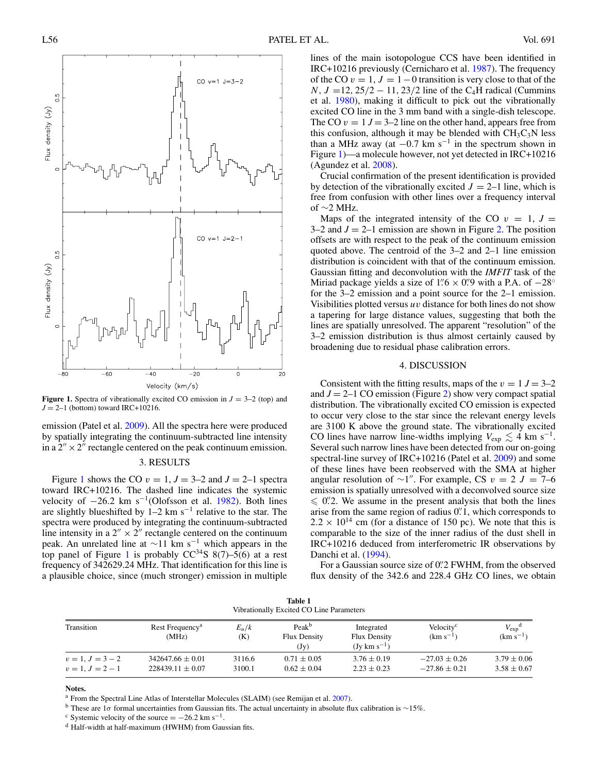

<span id="page-1-0"></span>**Figure 1.** Spectra of vibrationally excited CO emission in  $J = 3-2$  (top) and  $J = 2-1$  (bottom) toward IRC+10216.

emission (Patel et al. [2009\)](#page-3-7). All the spectra here were produced by spatially integrating the continuum-subtracted line intensity in a  $2'' \times 2''$  rectangle centered on the peak continuum emission.

#### 3. RESULTS

<span id="page-1-1"></span>Figure [1](#page-1-0) shows the CO  $v = 1$ ,  $J = 3-2$  and  $J = 2-1$  spectra toward IRC+10216. The dashed line indicates the systemic velocity of  $-26.2$  km s<sup>-1</sup>(Olofsson et al. [1982\)](#page-3-9). Both lines are slightly blueshifted by  $1-2 \text{ km s}^{-1}$  relative to the star. The spectra were produced by integrating the continuum-subtracted line intensity in a  $2'' \times 2''$  rectangle centered on the continuum peak. An unrelated line at  $\sim$ 11 km s<sup>-1</sup> which appears in the top panel of Figure [1](#page-1-0) is probably  $CC^{34}S$  8(7)–5(6) at a rest frequency of 342629.24 MHz. That identification for this line is a plausible choice, since (much stronger) emission in multiple lines of the main isotopologue CCS have been identified in IRC+10216 previously (Cernicharo et al. [1987\)](#page-3-10). The frequency of the CO  $v = 1$ ,  $J = 1 - 0$  transition is very close to that of the  $N, J = 12, 25/2 - 11, 23/2$  line of the C<sub>4</sub>H radical (Cummins et al. [1980\)](#page-3-4), making it difficult to pick out the vibrationally excited CO line in the 3 mm band with a single-dish telescope. The CO  $v = 1$   $J = 3-2$  line on the other hand, appears free from this confusion, although it may be blended with  $CH<sub>3</sub>C<sub>3</sub>N$  less than a MHz away (at  $-0.7$  km s<sup>-1</sup> in the spectrum shown in Figure [1\)](#page-1-0)—a molecule however, not yet detected in IRC+10216 (Agundez et al. [2008\)](#page-3-11).

Crucial confirmation of the present identification is provided by detection of the vibrationally excited  $J = 2-1$  line, which is free from confusion with other lines over a frequency interval of ∼2 MHz.

Maps of the integrated intensity of the CO  $v = 1$ ,  $J =$  $3-2$  and  $J = 2-1$  emission are shown in Figure [2.](#page-2-0) The position offsets are with respect to the peak of the continuum emission quoted above. The centroid of the 3–2 and 2–1 line emission distribution is coincident with that of the continuum emission. Gaussian fitting and deconvolution with the *IMFIT* task of the Miriad package yields a size of  $1\rlap.{''}6 \times 0\rlap.{''}9$  with a P.A. of  $-28°$ for the 3–2 emission and a point source for the 2–1 emission. Visibilities plotted versus  $uv$  distance for both lines do not show a tapering for large distance values, suggesting that both the lines are spatially unresolved. The apparent "resolution" of the 3–2 emission distribution is thus almost certainly caused by broadening due to residual phase calibration errors.

#### 4. DISCUSSION

Consistent with the fitting results, maps of the  $v = 1$   $J = 3-2$ and  $J = 2-1$  CO emission (Figure [2\)](#page-2-0) show very compact spatial distribution. The vibrationally excited CO emission is expected to occur very close to the star since the relevant energy levels are 3100 K above the ground state. The vibrationally excited CO lines have narrow line-widths implying  $V_{\text{exp}} \lesssim 4 \text{ km s}^{-1}$ . Several such narrow lines have been detected from our on-going spectral-line survey of IRC+10216 (Patel et al. [2009\)](#page-3-7) and some of these lines have been reobserved with the SMA at higher angular resolution of  $\sim$ 1". For example, CS v = 2 J = 7–6 emission is spatially unresolved with a deconvolved source size  $\leq$  0. We assume in the present analysis that both the lines arise from the same region of radius  $0$ . 1, which corresponds to  $2.2 \times 10^{14}$  cm (for a distance of 150 pc). We note that this is comparable to the size of the inner radius of the dust shell in IRC+10216 deduced from interferometric IR observations by Danchi et al. [\(1994\)](#page-3-12).

For a Gaussian source size of 0. 2 FWHM, from the observed flux density of the 342.6 and 228.4 GHz CO lines, we obtain

| Table 1<br>Vibrationally Excited CO Line Parameters |                                              |                  |                                                  |                                                               |                                        |                                             |
|-----------------------------------------------------|----------------------------------------------|------------------|--------------------------------------------------|---------------------------------------------------------------|----------------------------------------|---------------------------------------------|
| Transition                                          | Rest Frequency <sup>a</sup><br>(MHz)         | $E_u/k$<br>(K)   | Peak <sup>b</sup><br><b>Flux Density</b><br>(Jy) | Integrated<br><b>Flux Density</b><br>$(Jy \text{ km s}^{-1})$ | Velocity <sup>c</sup><br>$(km s^{-1})$ | $V_{\rm exp}$ <sup>d</sup><br>$(km s^{-1})$ |
| $v = 1, J = 3 - 2$<br>$v = 1, J = 2 - 1$            | $342647.66 \pm 0.01$<br>$228439.11 \pm 0.07$ | 3116.6<br>3100.1 | $0.71 \pm 0.05$<br>$0.62 \pm 0.04$               | $3.76 \pm 0.19$<br>$2.23 \pm 0.23$                            | $-27.03 + 0.26$<br>$-27.86 + 0.21$     | $3.79 \pm 0.06$<br>$3.58 \pm 0.67$          |

**Notes.**

<sup>a</sup> From the Spectral Line Atlas of Interstellar Molecules (SLAIM) (see Remijan et al. [2007\)](#page-3-13).

b These are 1σ formal uncertainties from Gaussian fits. The actual uncertainty in absolute flux calibration is ∼15%.<br><sup>c</sup> Systemic velocity of the source = −26.2 km s<sup>−1</sup>.<br>d Half-width at half-maximum (HWHM) from Gaussian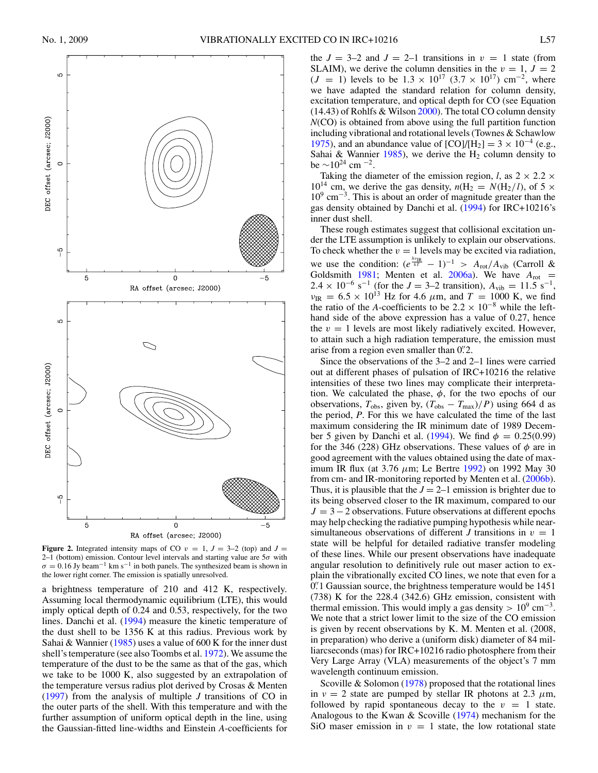

<span id="page-2-0"></span>**Figure 2.** Integrated intensity maps of CO  $v = 1$ ,  $J = 3-2$  (top) and  $J =$ 2–1 (bottom) emission. Contour level intervals and starting value are  $5\sigma$  with  $\sigma = 0.16$  Jy beam<sup>-1</sup> km s<sup>-1</sup> in both panels. The synthesized beam is shown in the lower right corner. The emission is spatially unresolved.

a brightness temperature of 210 and 412 K, respectively. Assuming local thermodynamic equilibrium (LTE), this would imply optical depth of 0.24 and 0.53, respectively, for the two lines. Danchi et al. [\(1994\)](#page-3-12) measure the kinetic temperature of the dust shell to be 1356 K at this radius. Previous work by Sahai & Wannier [\(1985\)](#page-3-14) uses a value of 600 K for the inner dust shell's temperature (see also Toombs et al. [1972\)](#page-3-15). We assume the temperature of the dust to be the same as that of the gas, which we take to be 1000 K, also suggested by an extrapolation of the temperature versus radius plot derived by Crosas & Menten [\(1997\)](#page-3-16) from the analysis of multiple *J* transitions of CO in the outer parts of the shell. With this temperature and with the further assumption of uniform optical depth in the line, using the Gaussian-fitted line-widths and Einstein *A*-coefficients for

the  $J = 3-2$  and  $J = 2-1$  transitions in  $v = 1$  state (from SLAIM), we derive the column densities in the  $v = 1$ ,  $J = 2$  $(J = 1)$  levels to be  $1.3 \times 10^{17}$   $(3.7 \times 10^{17})$  cm<sup>-2</sup>, where we have adapted the standard relation for column density, excitation temperature, and optical depth for CO (see Equation (14.43) of Rohlfs & Wilson [2000\)](#page-3-17). The total CO column density *N*(CO) is obtained from above using the full partition function including vibrational and rotational levels (Townes & Schawlow [1975\)](#page-3-18), and an abundance value of  $[CO]/[H_2] = 3 \times 10^{-4}$  (e.g., Sahai & Wannier [1985\)](#page-3-14), we derive the  $H_2$  column density to be  $\sim$ 10<sup>24</sup> cm<sup>-2</sup>.

Taking the diameter of the emission region, *l*, as  $2 \times 2.2 \times$  $10^{14}$  cm, we derive the gas density,  $n(H_2 = N(H_2/l))$ , of 5  $\times$ 109 cm−3. This is about an order of magnitude greater than the gas density obtained by Danchi et al. [\(1994\)](#page-3-12) for IRC+10216's inner dust shell.

These rough estimates suggest that collisional excitation under the LTE assumption is unlikely to explain our observations. To check whether the  $v = 1$  levels may be excited via radiation, we use the condition:  $(e^{\frac{h\nu_{\text{IR}}}{kT}} - 1)^{-1} > A_{\text{rot}}/A_{\text{vib}}$  (Carroll & Goldsmith [1981;](#page-3-19) Menten et al. [2006a\)](#page-3-20). We have  $A_{\text{rot}} =$ 2.4 × 10<sup>-6</sup> s<sup>-1</sup> (for the *J* = 3–2 transition),  $A_{\text{vib}} = 11.5 \text{ s}^{-1}$ ,  $v_{\text{IR}} = 6.5 \times 10^{13} \text{ Hz}$  for 4.6  $\mu$ m, and  $T = 1000 \text{ K}$ , we find the ratio of the *A*-coefficients to be  $2.2 \times 10^{-8}$  while the lefthand side of the above expression has a value of 0.27, hence the  $v = 1$  levels are most likely radiatively excited. However, to attain such a high radiation temperature, the emission must arise from a region even smaller than 0".2.

Since the observations of the 3–2 and 2–1 lines were carried out at different phases of pulsation of IRC+10216 the relative intensities of these two lines may complicate their interpretation. We calculated the phase,  $\phi$ , for the two epochs of our observations,  $T_{\text{obs}}$ , given by,  $(T_{\text{obs}} - T_{\text{max}})/P$ ) using 664 d as the period, *P*. For this we have calculated the time of the last maximum considering the IR minimum date of 1989 Decem-ber 5 given by Danchi et al. [\(1994\)](#page-3-12). We find  $\phi = 0.25(0.99)$ for the 346 (228) GHz observations. These values of  $\phi$  are in good agreement with the values obtained using the date of maximum IR flux (at  $3.76 \mu m$ ; Le Bertre [1992\)](#page-3-21) on 1992 May 30 from cm- and IR-monitoring reported by Menten et al. [\(2006b\)](#page-3-22). Thus, it is plausible that the  $J = 2-1$  emission is brighter due to its being observed closer to the IR maximum, compared to our  $J = 3-2$  observations. Future observations at different epochs may help checking the radiative pumping hypothesis while nearsimultaneous observations of different *J* transitions in  $v = 1$ state will be helpful for detailed radiative transfer modeling of these lines. While our present observations have inadequate angular resolution to definitively rule out maser action to explain the vibrationally excited CO lines, we note that even for a 0.<sup>7</sup> O. Gaussian source, the brightness temperature would be 1451 (738) K for the 228.4 (342.6) GHz emission, consistent with thermal emission. This would imply a gas density >  $10^9$  cm<sup>-3</sup>. We note that a strict lower limit to the size of the CO emission is given by recent observations by K. M. Menten et al. (2008, in preparation) who derive a (uniform disk) diameter of 84 milliarcseconds (mas) for IRC+10216 radio photosphere from their Very Large Array (VLA) measurements of the object's 7 mm wavelength continuum emission.

Scoville  $&$  Solomon [\(1978\)](#page-3-3) proposed that the rotational lines in  $v = 2$  state are pumped by stellar IR photons at 2.3  $\mu$ m, followed by rapid spontaneous decay to the  $v = 1$  state. Analogous to the Kwan & Scoville [\(1974\)](#page-3-23) mechanism for the SiO maser emission in  $v = 1$  state, the low rotational state